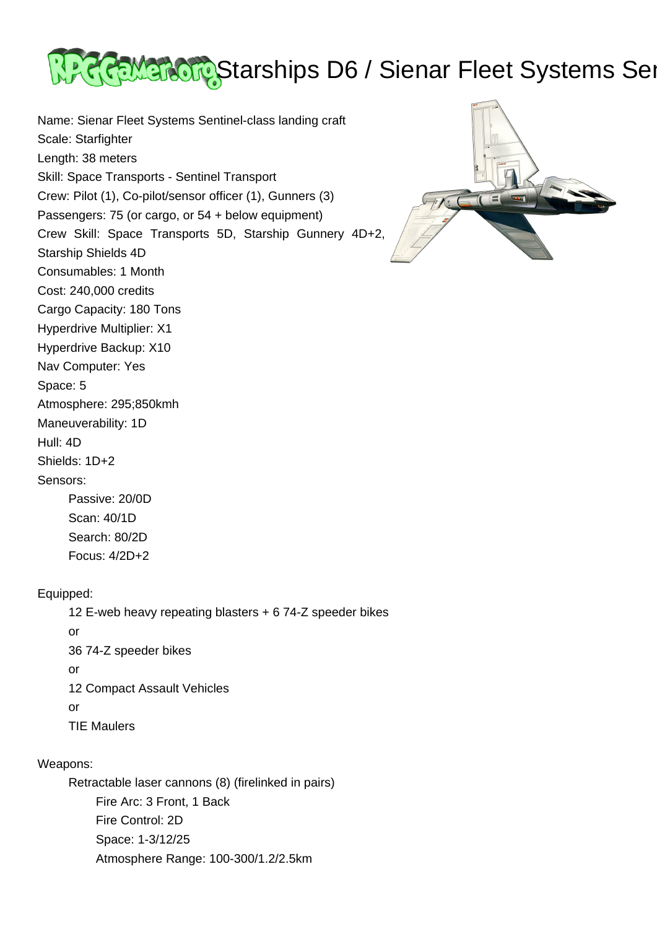

Name: Sienar Fleet Systems Sentinel-class landing craft Scale: Starfighter Length: 38 meters Skill: Space Transports - Sentinel Transport Crew: Pilot (1), Co-pilot/sensor officer (1), Gunners (3) Passengers: 75 (or cargo, or 54 + below equipment) Crew Skill: Space Transports 5D, Starship Gunnery 4D+2, Starship Shields 4D Consumables: 1 Month Cost: 240,000 credits Cargo Capacity: 180 Tons Hyperdrive Multiplier: X1 Hyperdrive Backup: X10 Nav Computer: Yes Space: 5 Atmosphere: 295;850kmh Maneuverability: 1D Hull: 4D Shields: 1D+2 Sensors:



 Passive: 20/0D Scan: 40/1D Search: 80/2D Focus: 4/2D+2

## Equipped:

 12 E-web heavy repeating blasters + 6 74-Z speeder bikes or 36 74-Z speeder bikes or 12 Compact Assault Vehicles or TIE Maulers

## Weapons:

 Retractable laser cannons (8) (firelinked in pairs) Fire Arc: 3 Front, 1 Back Fire Control: 2D Space: 1-3/12/25 Atmosphere Range: 100-300/1.2/2.5km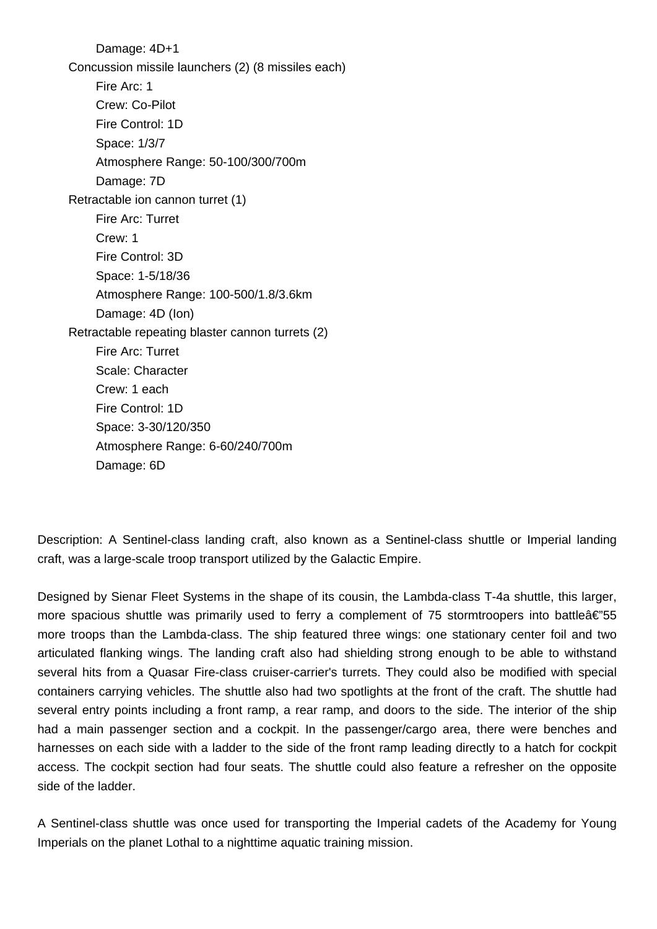Damage: 4D+1 Concussion missile launchers (2) (8 missiles each) Fire Arc: 1 Crew: Co-Pilot Fire Control: 1D Space: 1/3/7 Atmosphere Range: 50-100/300/700m Damage: 7D Retractable ion cannon turret (1) Fire Arc: Turret Crew: 1 Fire Control: 3D Space: 1-5/18/36 Atmosphere Range: 100-500/1.8/3.6km Damage: 4D (Ion) Retractable repeating blaster cannon turrets (2) Fire Arc: Turret Scale: Character Crew: 1 each Fire Control: 1D Space: 3-30/120/350 Atmosphere Range: 6-60/240/700m Damage: 6D

Description: A Sentinel-class landing craft, also known as a Sentinel-class shuttle or Imperial landing craft, was a large-scale troop transport utilized by the Galactic Empire.

Designed by Sienar Fleet Systems in the shape of its cousin, the Lambda-class T-4a shuttle, this larger, more spacious shuttle was primarily used to ferry a complement of 75 stormtroopers into battle $\hat{\mathsf{a}} \in \mathbb{S}$ 55 more troops than the Lambda-class. The ship featured three wings: one stationary center foil and two articulated flanking wings. The landing craft also had shielding strong enough to be able to withstand several hits from a Quasar Fire-class cruiser-carrier's turrets. They could also be modified with special containers carrying vehicles. The shuttle also had two spotlights at the front of the craft. The shuttle had several entry points including a front ramp, a rear ramp, and doors to the side. The interior of the ship had a main passenger section and a cockpit. In the passenger/cargo area, there were benches and harnesses on each side with a ladder to the side of the front ramp leading directly to a hatch for cockpit access. The cockpit section had four seats. The shuttle could also feature a refresher on the opposite side of the ladder.

A Sentinel-class shuttle was once used for transporting the Imperial cadets of the Academy for Young Imperials on the planet Lothal to a nighttime aquatic training mission.